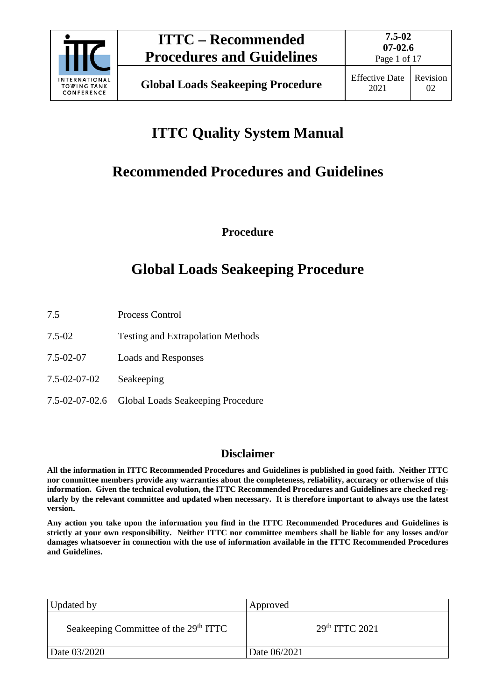

Page 1 of 17

# **ITTC Quality System Manual**

# **Recommended Procedures and Guidelines**

**Procedure**

# **Global Loads Seakeeping Procedure**

- 7.5 Process Control
- 7.5-02 Testing and Extrapolation Methods
- 7.5-02-07 Loads and Responses
- 7.5-02-07-02 Seakeeping
- 7.5-02-07-02.6 Global Loads Seakeeping Procedure

## **Disclaimer**

**All the information in ITTC Recommended Procedures and Guidelines is published in good faith. Neither ITTC nor committee members provide any warranties about the completeness, reliability, accuracy or otherwise of this information. Given the technical evolution, the ITTC Recommended Procedures and Guidelines are checked regularly by the relevant committee and updated when necessary. It is therefore important to always use the latest version.**

**Any action you take upon the information you find in the ITTC Recommended Procedures and Guidelines is strictly at your own responsibility. Neither ITTC nor committee members shall be liable for any losses and/or damages whatsoever in connection with the use of information available in the ITTC Recommended Procedures and Guidelines.**

| Updated by                                        | Approved                   |
|---------------------------------------------------|----------------------------|
| Seakeeping Committee of the 29 <sup>th</sup> ITTC | 29 <sup>th</sup> TTTC 2021 |
| Date 03/2020                                      | Date 06/2021               |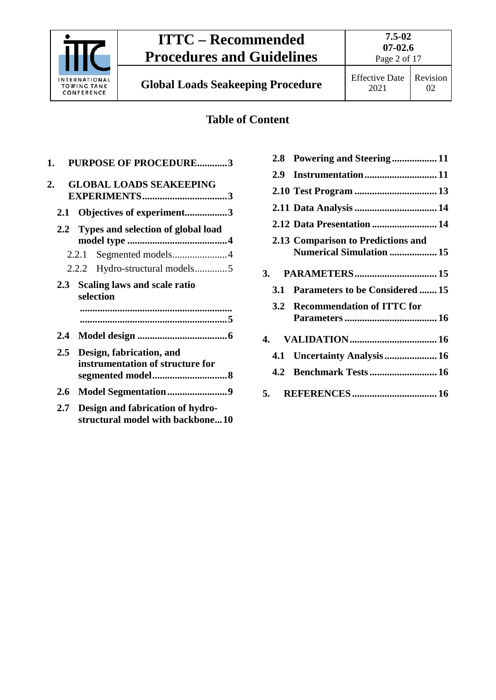

**Global Loads Seakeeping Procedure** Effective Date

## **Table of Content**

| 1. |     | <b>PURPOSE OF PROCEDURE3</b>                                         |
|----|-----|----------------------------------------------------------------------|
| 2. |     | <b>GLOBAL LOADS SEAKEEPING</b>                                       |
|    |     | 2.1 Objectives of experiment3                                        |
|    |     | 2.2 Types and selection of global load                               |
|    |     |                                                                      |
|    |     | 2.2.2 Hydro-structural models5                                       |
|    |     | 2.3 Scaling laws and scale ratio<br>selection                        |
|    |     |                                                                      |
|    | 2.4 |                                                                      |
|    | 2.5 | Design, fabrication, and<br>instrumentation of structure for         |
|    | 2.6 | Model Segmentation9                                                  |
|    | 2.7 | Design and fabrication of hydro-<br>structural model with backbone10 |

|     | 2.8 Powering and Steering11                                           |  |
|-----|-----------------------------------------------------------------------|--|
| 2.9 |                                                                       |  |
|     |                                                                       |  |
|     |                                                                       |  |
|     |                                                                       |  |
|     | 2.13 Comparison to Predictions and<br><b>Numerical Simulation  15</b> |  |
|     |                                                                       |  |
|     | 3.1 Parameters to be Considered  15                                   |  |
|     | 3.2 Recommendation of ITTC for                                        |  |
|     |                                                                       |  |
|     |                                                                       |  |
|     |                                                                       |  |
|     |                                                                       |  |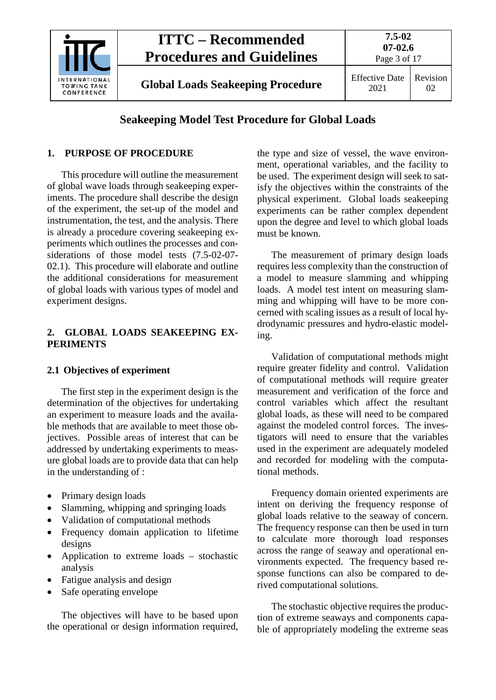

## **Seakeeping Model Test Procedure for Global Loads**

## <span id="page-2-0"></span>**1. PURPOSE OF PROCEDURE**

This procedure will outline the measurement of global wave loads through seakeeping experiments. The procedure shall describe the design of the experiment, the set-up of the model and instrumentation, the test, and the analysis. There is already a procedure covering seakeeping experiments which outlines the processes and considerations of those model tests (7.5-02-07- 02.1). This procedure will elaborate and outline the additional considerations for measurement of global loads with various types of model and experiment designs.

### <span id="page-2-1"></span>**2. GLOBAL LOADS SEAKEEPING EX-PERIMENTS**

## <span id="page-2-2"></span>**2.1 Objectives of experiment**

The first step in the experiment design is the determination of the objectives for undertaking an experiment to measure loads and the available methods that are available to meet those objectives. Possible areas of interest that can be addressed by undertaking experiments to measure global loads are to provide data that can help in the understanding of :

- Primary design loads
- Slamming, whipping and springing loads
- Validation of computational methods
- Frequency domain application to lifetime designs
- Application to extreme loads stochastic analysis
- Fatigue analysis and design
- Safe operating envelope

The objectives will have to be based upon the operational or design information required,

the type and size of vessel, the wave environment, operational variables, and the facility to be used. The experiment design will seek to satisfy the objectives within the constraints of the physical experiment. Global loads seakeeping experiments can be rather complex dependent upon the degree and level to which global loads must be known.

The measurement of primary design loads requires less complexity than the construction of a model to measure slamming and whipping loads. A model test intent on measuring slamming and whipping will have to be more concerned with scaling issues as a result of local hydrodynamic pressures and hydro-elastic modeling.

Validation of computational methods might require greater fidelity and control. Validation of computational methods will require greater measurement and verification of the force and control variables which affect the resultant global loads, as these will need to be compared against the modeled control forces. The investigators will need to ensure that the variables used in the experiment are adequately modeled and recorded for modeling with the computational methods.

Frequency domain oriented experiments are intent on deriving the frequency response of global loads relative to the seaway of concern. The frequency response can then be used in turn to calculate more thorough load responses across the range of seaway and operational environments expected. The frequency based response functions can also be compared to derived computational solutions.

The stochastic objective requires the production of extreme seaways and components capable of appropriately modeling the extreme seas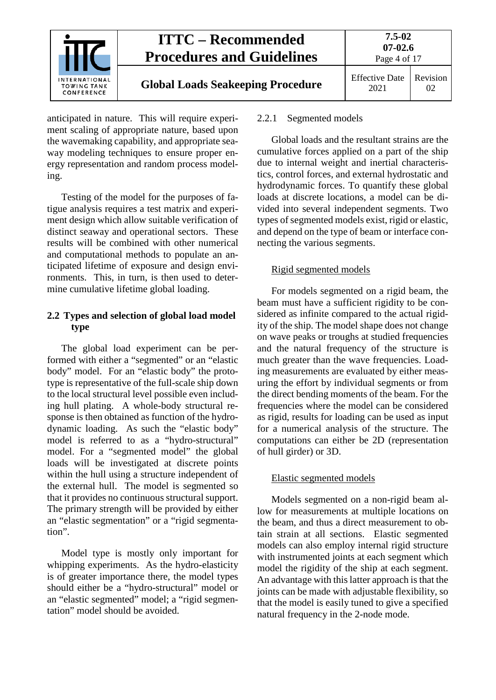

# **Global Loads Seakeeping Procedure** Effective Date

anticipated in nature. This will require experiment scaling of appropriate nature, based upon the wavemaking capability, and appropriate seaway modeling techniques to ensure proper energy representation and random process modeling.

Testing of the model for the purposes of fatigue analysis requires a test matrix and experiment design which allow suitable verification of distinct seaway and operational sectors. These results will be combined with other numerical and computational methods to populate an anticipated lifetime of exposure and design environments. This, in turn, is then used to determine cumulative lifetime global loading.

### <span id="page-3-0"></span>**2.2 Types and selection of global load model type**

The global load experiment can be performed with either a "segmented" or an "elastic body" model. For an "elastic body" the prototype is representative of the full-scale ship down to the local structural level possible even including hull plating. A whole-body structural response is then obtained as function of the hydrodynamic loading. As such the "elastic body" model is referred to as a "hydro-structural" model. For a "segmented model" the global loads will be investigated at discrete points within the hull using a structure independent of the external hull. The model is segmented so that it provides no continuous structural support. The primary strength will be provided by either an "elastic segmentation" or a "rigid segmentation".

Model type is mostly only important for whipping experiments. As the hydro-elasticity is of greater importance there, the model types should either be a "hydro-structural" model or an "elastic segmented" model; a "rigid segmentation" model should be avoided.

### <span id="page-3-1"></span>2.2.1 Segmented models

Global loads and the resultant strains are the cumulative forces applied on a part of the ship due to internal weight and inertial characteristics, control forces, and external hydrostatic and hydrodynamic forces. To quantify these global loads at discrete locations, a model can be divided into several independent segments. Two types of segmented models exist, rigid or elastic, and depend on the type of beam or interface connecting the various segments.

## Rigid segmented models

For models segmented on a rigid beam, the beam must have a sufficient rigidity to be considered as infinite compared to the actual rigidity of the ship. The model shape does not change on wave peaks or troughs at studied frequencies and the natural frequency of the structure is much greater than the wave frequencies. Loading measurements are evaluated by either measuring the effort by individual segments or from the direct bending moments of the beam. For the frequencies where the model can be considered as rigid, results for loading can be used as input for a numerical analysis of the structure. The computations can either be 2D (representation of hull girder) or 3D.

## Elastic segmented models

Models segmented on a non-rigid beam allow for measurements at multiple locations on the beam, and thus a direct measurement to obtain strain at all sections. Elastic segmented models can also employ internal rigid structure with instrumented joints at each segment which model the rigidity of the ship at each segment. An advantage with this latter approach is that the joints can be made with adjustable flexibility, so that the model is easily tuned to give a specified natural frequency in the 2-node mode.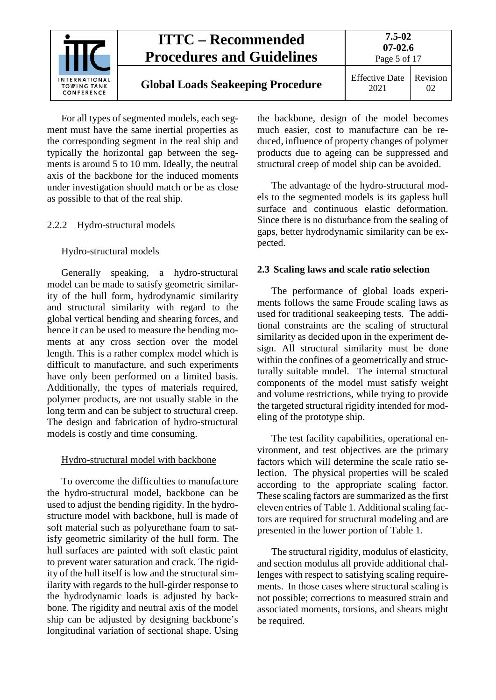

For all types of segmented models, each segment must have the same inertial properties as the corresponding segment in the real ship and typically the horizontal gap between the segments is around 5 to 10 mm. Ideally, the neutral axis of the backbone for the induced moments under investigation should match or be as close as possible to that of the real ship.

#### <span id="page-4-0"></span>2.2.2 Hydro-structural models

#### Hydro-structural models

Generally speaking, a hydro-structural model can be made to satisfy geometric similarity of the hull form, hydrodynamic similarity and structural similarity with regard to the global vertical bending and shearing forces, and hence it can be used to measure the bending moments at any cross section over the model length. This is a rather complex model which is difficult to manufacture, and such experiments have only been performed on a limited basis. Additionally, the types of materials required, polymer products, are not usually stable in the long term and can be subject to structural creep. The design and fabrication of hydro-structural models is costly and time consuming.

#### Hydro-structural model with backbone

To overcome the difficulties to manufacture the hydro-structural model, backbone can be used to adjust the bending rigidity. In the hydrostructure model with backbone, hull is made of soft material such as polyurethane foam to satisfy geometric similarity of the hull form. The hull surfaces are painted with soft elastic paint to prevent water saturation and crack. The rigidity of the hull itself is low and the structural similarity with regards to the hull-girder response to the hydrodynamic loads is adjusted by backbone. The rigidity and neutral axis of the model ship can be adjusted by designing backbone's longitudinal variation of sectional shape. Using the backbone, design of the model becomes much easier, cost to manufacture can be reduced, influence of property changes of polymer products due to ageing can be suppressed and structural creep of model ship can be avoided.

The advantage of the hydro-structural models to the segmented models is its gapless hull surface and continuous elastic deformation. Since there is no disturbance from the sealing of gaps, better hydrodynamic similarity can be expected.

#### <span id="page-4-1"></span>**2.3 Scaling laws and scale ratio selection**

The performance of global loads experiments follows the same Froude scaling laws as used for traditional seakeeping tests. The additional constraints are the scaling of structural similarity as decided upon in the experiment design. All structural similarity must be done within the confines of a geometrically and structurally suitable model. The internal structural components of the model must satisfy weight and volume restrictions, while trying to provide the targeted structural rigidity intended for modeling of the prototype ship.

The test facility capabilities, operational environment, and test objectives are the primary factors which will determine the scale ratio selection. The physical properties will be scaled according to the appropriate scaling factor. These scaling factors are summarized as the first eleven entries of [Table 1.](#page-5-1) Additional scaling factors are required for structural modeling and are presented in the lower portion of [Table 1.](#page-5-1)

The structural rigidity, modulus of elasticity, and section modulus all provide additional challenges with respect to satisfying scaling requirements. In those cases where structural scaling is not possible; corrections to measured strain and associated moments, torsions, and shears might be required.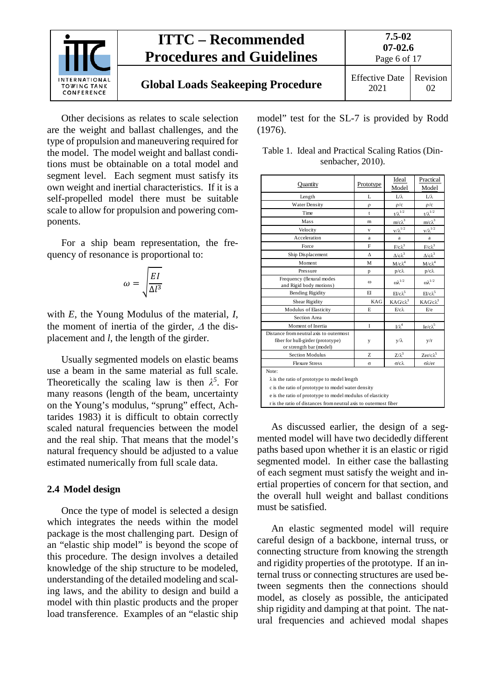

# **Global Loads Seakeeping Procedure** Effective Date

Other decisions as relates to scale selection are the weight and ballast challenges, and the type of propulsion and maneuvering required for the model. The model weight and ballast conditions must be obtainable on a total model and segment level. Each segment must satisfy its own weight and inertial characteristics. If it is a self-propelled model there must be suitable scale to allow for propulsion and powering components.

For a ship beam representation, the frequency of resonance is proportional to:

$$
\omega = \sqrt{\frac{EI}{\Delta l^3}}
$$

with *E*, the Young Modulus of the material, *I*, the moment of inertia of the girder, <sup>∆</sup> the displacement and *l*, the length of the girder.

Usually segmented models on elastic beams use a beam in the same material as full scale. Theoretically the scaling law is then  $\lambda^5$ . For many reasons (length of the beam, uncertainty on the Young's modulus, "sprung" effect, Achtarides 1983) it is difficult to obtain correctly scaled natural frequencies between the model and the real ship. That means that the model's natural frequency should be adjusted to a value estimated numerically from full scale data.

#### <span id="page-5-0"></span>**2.4 Model design**

Once the type of model is selected a design which integrates the needs within the model package is the most challenging part. Design of an "elastic ship model" is beyond the scope of this procedure. The design involves a detailed knowledge of the ship structure to be modeled, understanding of the detailed modeling and scaling laws, and the ability to design and build a model with thin plastic products and the proper load transference. Examples of an "elastic ship model" test for the SL-7 is provided by Rodd (1976).

<span id="page-5-1"></span>

|                   | Table 1. Ideal and Practical Scaling Ratios (Din- |
|-------------------|---------------------------------------------------|
| senbacher, 2010). |                                                   |

| L                                                                                                                                                                                                                                                    | Model                  |                                                                       |  |
|------------------------------------------------------------------------------------------------------------------------------------------------------------------------------------------------------------------------------------------------------|------------------------|-----------------------------------------------------------------------|--|
|                                                                                                                                                                                                                                                      |                        | Model                                                                 |  |
|                                                                                                                                                                                                                                                      | $L/\lambda$            | Lλ                                                                    |  |
| $\rho$                                                                                                                                                                                                                                               | $\rho/c$               | $\rho/c$                                                              |  |
| $\mathbf{t}$                                                                                                                                                                                                                                         |                        | $t/\lambda^{1/2}$                                                     |  |
| m                                                                                                                                                                                                                                                    | $m/c\lambda^3$         | $m/c\lambda^3$                                                        |  |
| v                                                                                                                                                                                                                                                    | $v/\lambda^{1/2}$      | $v/\lambda^{1/2}$                                                     |  |
| a                                                                                                                                                                                                                                                    | a                      | a                                                                     |  |
| F                                                                                                                                                                                                                                                    |                        | $\ensuremath{\text{F}}\xspace/\ensuremath{\text{c}}\xspace \lambda^3$ |  |
| л                                                                                                                                                                                                                                                    | Δ/cλ <sup>3</sup>      | Δ/cλ <sup>3</sup>                                                     |  |
| М                                                                                                                                                                                                                                                    | $M/c\lambda^4$         | $M/c\lambda^4$                                                        |  |
| p                                                                                                                                                                                                                                                    | $p/c\lambda$           | $p/c\lambda$                                                          |  |
| $\omega$                                                                                                                                                                                                                                             | $\omega \lambda^{1/2}$ | $\omega \lambda^{1/2}$                                                |  |
| EI                                                                                                                                                                                                                                                   | $E1/c\lambda^5$        | $EI/c\lambda^5$                                                       |  |
| KAG                                                                                                                                                                                                                                                  | $KAG/c\lambda^3$       | $KAG/c\lambda^3$                                                      |  |
| E                                                                                                                                                                                                                                                    | $E/c\lambda$           | E/e                                                                   |  |
|                                                                                                                                                                                                                                                      |                        |                                                                       |  |
| L                                                                                                                                                                                                                                                    | $L/\lambda^4$          | $Ie/c\lambda^5$                                                       |  |
| y                                                                                                                                                                                                                                                    | $y/\lambda$            | y/r                                                                   |  |
| Z.                                                                                                                                                                                                                                                   | $Z/\lambda^3$          | Zer/c $\lambda^5$                                                     |  |
| $\sigma$                                                                                                                                                                                                                                             | $\sigma/c\lambda$      | $\sigma \lambda$ er                                                   |  |
| Note:<br>$\lambda$ is the ratio of prototype to model length<br>c is the ratio of prototype to model water density<br>e is the ratio of prototype to model modulus of elasticity<br>r is the ratio of distances from neutral axis to outermost fiber |                        |                                                                       |  |
|                                                                                                                                                                                                                                                      |                        | $t/\lambda^{1/2}$<br>$\underline{F}/c\lambda^3$                       |  |

As discussed earlier, the design of a segmented model will have two decidedly different paths based upon whether it is an elastic or rigid segmented model. In either case the ballasting of each segment must satisfy the weight and inertial properties of concern for that section, and the overall hull weight and ballast conditions must be satisfied.

An elastic segmented model will require careful design of a backbone, internal truss, or connecting structure from knowing the strength and rigidity properties of the prototype. If an internal truss or connecting structures are used between segments then the connections should model, as closely as possible, the anticipated ship rigidity and damping at that point. The natural frequencies and achieved modal shapes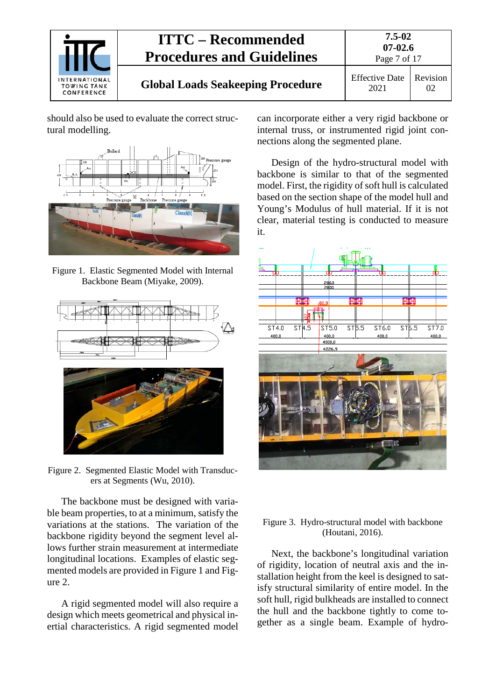

should also be used to evaluate the correct structural modelling.



<span id="page-6-0"></span>Figure 1. Elastic Segmented Model with Internal Backbone Beam (Miyake, 2009).



<span id="page-6-1"></span>Figure 2. Segmented Elastic Model with Transducers at Segments (Wu, 2010).

The backbone must be designed with variable beam properties, to at a minimum, satisfy the variations at the stations. The variation of the backbone rigidity beyond the segment level allows further strain measurement at intermediate longitudinal locations. Examples of elastic segmented models are provided in [Figure 1](#page-6-0) and [Fig](#page-6-1)[ure 2.](#page-6-1)

A rigid segmented model will also require a design which meets geometrical and physical inertial characteristics. A rigid segmented model

can incorporate either a very rigid backbone or internal truss, or instrumented rigid joint connections along the segmented plane.

Design of the hydro-structural model with backbone is similar to that of the segmented model. First, the rigidity of soft hull is calculated based on the section shape of the model hull and Young's Modulus of hull material. If it is not clear, material testing is conducted to measure it.



#### Figure 3. Hydro-structural model with backbone (Houtani, 2016).

Next, the backbone's longitudinal variation of rigidity, location of neutral axis and the installation height from the keel is designed to satisfy structural similarity of entire model. In the soft hull, rigid bulkheads are installed to connect the hull and the backbone tightly to come together as a single beam. Example of hydro-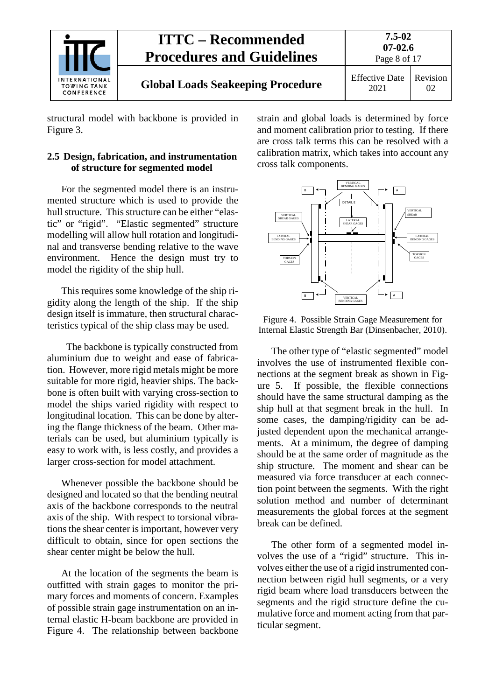

**7.5-02**

structural model with backbone is provided in Figure 3.

## <span id="page-7-0"></span>**2.5 Design, fabrication, and instrumentation of structure for segmented model**

For the segmented model there is an instrumented structure which is used to provide the hull structure. This structure can be either "elastic" or "rigid". "Elastic segmented" structure modelling will allow hull rotation and longitudinal and transverse bending relative to the wave environment. Hence the design must try to model the rigidity of the ship hull.

This requires some knowledge of the ship rigidity along the length of the ship. If the ship design itself is immature, then structural characteristics typical of the ship class may be used.

 The backbone is typically constructed from aluminium due to weight and ease of fabrication. However, more rigid metals might be more suitable for more rigid, heavier ships. The backbone is often built with varying cross-section to model the ships varied rigidity with respect to longitudinal location. This can be done by altering the flange thickness of the beam. Other materials can be used, but aluminium typically is easy to work with, is less costly, and provides a larger cross-section for model attachment.

Whenever possible the backbone should be designed and located so that the bending neutral axis of the backbone corresponds to the neutral axis of the ship. With respect to torsional vibrations the shear center is important, however very difficult to obtain, since for open sections the shear center might be below the hull.

At the location of the segments the beam is outfitted with strain gages to monitor the primary forces and moments of concern. Examples of possible strain gage instrumentation on an internal elastic H-beam backbone are provided in [Figure 4](#page-7-1). The relationship between backbone

strain and global loads is determined by force and moment calibration prior to testing. If there are cross talk terms this can be resolved with a calibration matrix, which takes into account any cross talk components.



<span id="page-7-1"></span>Figure 4. Possible Strain Gage Measurement for Internal Elastic Strength Bar (Dinsenbacher, 2010).

The other type of "elastic segmented" model involves the use of instrumented flexible connections at the segment break as shown in [Fig](#page-8-1)[ure 5](#page-8-1). If possible, the flexible connections should have the same structural damping as the ship hull at that segment break in the hull. In some cases, the damping/rigidity can be adjusted dependent upon the mechanical arrangements. At a minimum, the degree of damping should be at the same order of magnitude as the ship structure. The moment and shear can be measured via force transducer at each connection point between the segments. With the right solution method and number of determinant measurements the global forces at the segment break can be defined.

The other form of a segmented model involves the use of a "rigid" structure. This involves either the use of a rigid instrumented connection between rigid hull segments, or a very rigid beam where load transducers between the segments and the rigid structure define the cumulative force and moment acting from that particular segment.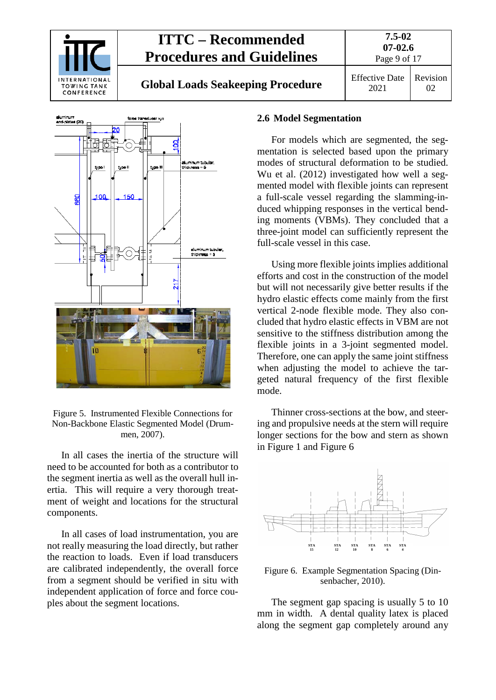

# **Global Loads Seakeeping Procedure** Effective Date



<span id="page-8-1"></span>Figure 5. Instrumented Flexible Connections for Non-Backbone Elastic Segmented Model (Drummen, 2007).

In all cases the inertia of the structure will need to be accounted for both as a contributor to the segment inertia as well as the overall hull inertia. This will require a very thorough treatment of weight and locations for the structural components.

In all cases of load instrumentation, you are not really measuring the load directly, but rather the reaction to loads. Even if load transducers are calibrated independently, the overall force from a segment should be verified in situ with independent application of force and force couples about the segment locations.

#### <span id="page-8-0"></span>**2.6 Model Segmentation**

For models which are segmented, the segmentation is selected based upon the primary modes of structural deformation to be studied. Wu et al. (2012) investigated how well a segmented model with flexible joints can represent a full-scale vessel regarding the slamming-induced whipping responses in the vertical bending moments (VBMs). They concluded that a three-joint model can sufficiently represent the full-scale vessel in this case.

Using more flexible joints implies additional efforts and cost in the construction of the model but will not necessarily give better results if the hydro elastic effects come mainly from the first vertical 2-node flexible mode. They also concluded that hydro elastic effects in VBM are not sensitive to the stiffness distribution among the flexible joints in a 3-joint segmented model. Therefore, one can apply the same joint stiffness when adjusting the model to achieve the targeted natural frequency of the first flexible mode.

Thinner cross-sections at the bow, and steering and propulsive needs at the stern will require longer sections for the bow and stern as shown in [Figure 1](#page-6-0) and [Figure 6](#page-8-2)



<span id="page-8-2"></span>Figure 6. Example Segmentation Spacing (Dinsenbacher, 2010).

The segment gap spacing is usually 5 to 10 mm in width. A dental quality latex is placed along the segment gap completely around any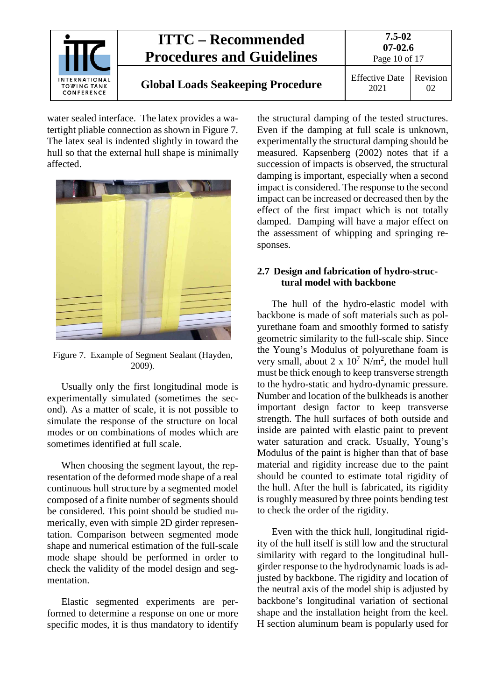

water sealed interface. The latex provides a watertight pliable connection as shown in [Figure 7.](#page-9-1) The latex seal is indented slightly in toward the hull so that the external hull shape is minimally affected.



Figure 7. Example of Segment Sealant (Hayden, 2009).

<span id="page-9-1"></span>Usually only the first longitudinal mode is experimentally simulated (sometimes the second). As a matter of scale, it is not possible to simulate the response of the structure on local modes or on combinations of modes which are sometimes identified at full scale.

When choosing the segment layout, the representation of the deformed mode shape of a real continuous hull structure by a segmented model composed of a finite number of segments should be considered. This point should be studied numerically, even with simple 2D girder representation. Comparison between segmented mode shape and numerical estimation of the full-scale mode shape should be performed in order to check the validity of the model design and segmentation.

Elastic segmented experiments are performed to determine a response on one or more specific modes, it is thus mandatory to identify the structural damping of the tested structures. Even if the damping at full scale is unknown, experimentally the structural damping should be measured. Kapsenberg (2002) notes that if a succession of impacts is observed, the structural damping is important, especially when a second impact is considered. The response to the second impact can be increased or decreased then by the effect of the first impact which is not totally damped. Damping will have a major effect on the assessment of whipping and springing responses.

### <span id="page-9-0"></span>**2.7 Design and fabrication of hydro-structural model with backbone**

The hull of the hydro-elastic model with backbone is made of soft materials such as polyurethane foam and smoothly formed to satisfy geometric similarity to the full-scale ship. Since the Young's Modulus of polyurethane foam is very small, about  $2 \times 10^7$  N/m<sup>2</sup>, the model hull must be thick enough to keep transverse strength to the hydro-static and hydro-dynamic pressure. Number and location of the bulkheads is another important design factor to keep transverse strength. The hull surfaces of both outside and inside are painted with elastic paint to prevent water saturation and crack. Usually, Young's Modulus of the paint is higher than that of base material and rigidity increase due to the paint should be counted to estimate total rigidity of the hull. After the hull is fabricated, its rigidity is roughly measured by three points bending test to check the order of the rigidity.

Even with the thick hull, longitudinal rigidity of the hull itself is still low and the structural similarity with regard to the longitudinal hullgirder response to the hydrodynamic loads is adjusted by backbone. The rigidity and location of the neutral axis of the model ship is adjusted by backbone's longitudinal variation of sectional shape and the installation height from the keel. H section aluminum beam is popularly used for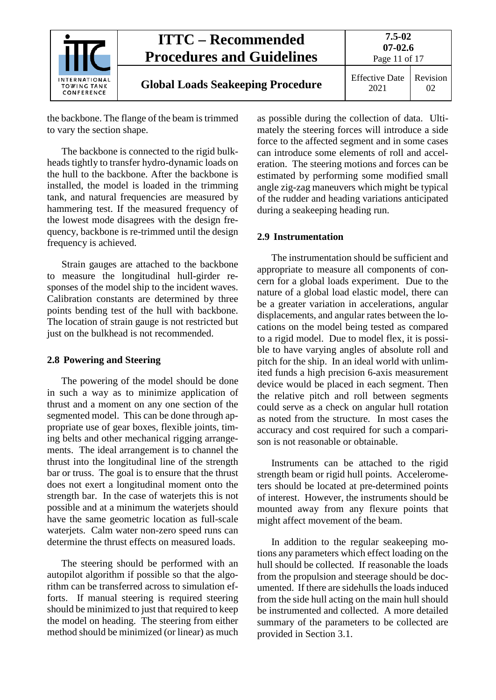

# **Global Loads Seakeeping Procedure** Effective Date

**07-02.6** Page 11 of 17 Revision

**7.5-02**

2021  $02$ 

the backbone. The flange of the beam is trimmed to vary the section shape.

The backbone is connected to the rigid bulkheads tightly to transfer hydro-dynamic loads on the hull to the backbone. After the backbone is installed, the model is loaded in the trimming tank, and natural frequencies are measured by hammering test. If the measured frequency of the lowest mode disagrees with the design frequency, backbone is re-trimmed until the design frequency is achieved.

Strain gauges are attached to the backbone to measure the longitudinal hull-girder responses of the model ship to the incident waves. Calibration constants are determined by three points bending test of the hull with backbone. The location of strain gauge is not restricted but just on the bulkhead is not recommended.

## <span id="page-10-0"></span>**2.8 Powering and Steering**

The powering of the model should be done in such a way as to minimize application of thrust and a moment on any one section of the segmented model. This can be done through appropriate use of gear boxes, flexible joints, timing belts and other mechanical rigging arrangements. The ideal arrangement is to channel the thrust into the longitudinal line of the strength bar or truss. The goal is to ensure that the thrust does not exert a longitudinal moment onto the strength bar. In the case of waterjets this is not possible and at a minimum the waterjets should have the same geometric location as full-scale waterjets. Calm water non-zero speed runs can determine the thrust effects on measured loads.

The steering should be performed with an autopilot algorithm if possible so that the algorithm can be transferred across to simulation efforts. If manual steering is required steering should be minimized to just that required to keep the model on heading. The steering from either method should be minimized (or linear) as much

as possible during the collection of data. Ultimately the steering forces will introduce a side force to the affected segment and in some cases can introduce some elements of roll and acceleration. The steering motions and forces can be estimated by performing some modified small angle zig-zag maneuvers which might be typical of the rudder and heading variations anticipated during a seakeeping heading run.

## <span id="page-10-1"></span>**2.9 Instrumentation**

The instrumentation should be sufficient and appropriate to measure all components of concern for a global loads experiment. Due to the nature of a global load elastic model, there can be a greater variation in accelerations, angular displacements, and angular rates between the locations on the model being tested as compared to a rigid model. Due to model flex, it is possible to have varying angles of absolute roll and pitch for the ship. In an ideal world with unlimited funds a high precision 6-axis measurement device would be placed in each segment. Then the relative pitch and roll between segments could serve as a check on angular hull rotation as noted from the structure. In most cases the accuracy and cost required for such a comparison is not reasonable or obtainable.

Instruments can be attached to the rigid strength beam or rigid hull points. Accelerometers should be located at pre-determined points of interest. However, the instruments should be mounted away from any flexure points that might affect movement of the beam.

In addition to the regular seakeeping motions any parameters which effect loading on the hull should be collected. If reasonable the loads from the propulsion and steerage should be documented. If there are sidehulls the loads induced from the side hull acting on the main hull should be instrumented and collected. A more detailed summary of the parameters to be collected are provided in Section 3.1.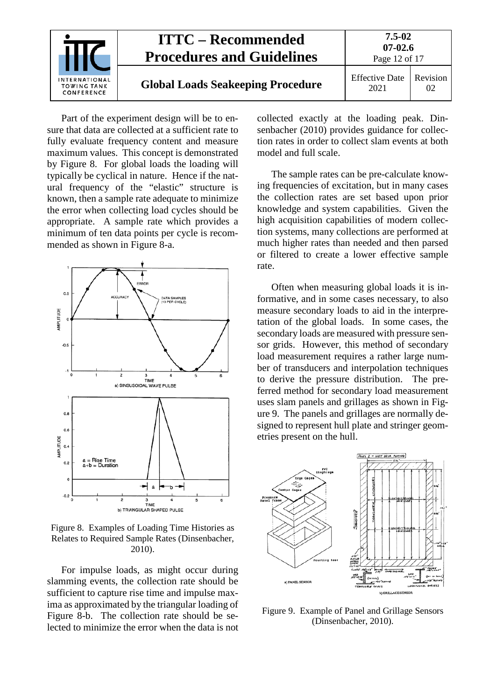

Part of the experiment design will be to ensure that data are collected at a sufficient rate to fully evaluate frequency content and measure maximum values. This concept is demonstrated by [Figure 8.](#page-11-0) For global loads the loading will typically be cyclical in nature. Hence if the natural frequency of the "elastic" structure is known, then a sample rate adequate to minimize the error when collecting load cycles should be appropriate. A sample rate which provides a minimum of ten data points per cycle is recommended as shown in [Figure 8-](#page-11-0)a.



<span id="page-11-0"></span>Figure 8. Examples of Loading Time Histories as Relates to Required Sample Rates (Dinsenbacher, 2010).

For impulse loads, as might occur during slamming events, the collection rate should be sufficient to capture rise time and impulse maxima as approximated by the triangular loading of [Figure 8-](#page-11-0)b. The collection rate should be selected to minimize the error when the data is not collected exactly at the loading peak. Dinsenbacher (2010) provides guidance for collection rates in order to collect slam events at both model and full scale.

The sample rates can be pre-calculate knowing frequencies of excitation, but in many cases the collection rates are set based upon prior knowledge and system capabilities. Given the high acquisition capabilities of modern collection systems, many collections are performed at much higher rates than needed and then parsed or filtered to create a lower effective sample rate.

Often when measuring global loads it is informative, and in some cases necessary, to also measure secondary loads to aid in the interpretation of the global loads. In some cases, the secondary loads are measured with pressure sensor grids. However, this method of secondary load measurement requires a rather large number of transducers and interpolation techniques to derive the pressure distribution. The preferred method for secondary load measurement uses slam panels and grillages as shown in [Fig](#page-11-1)[ure](#page-11-1) 9. The panels and grillages are normally designed to represent hull plate and stringer geometries present on the hull.



<span id="page-11-1"></span>Figure 9. Example of Panel and Grillage Sensors (Dinsenbacher, 2010).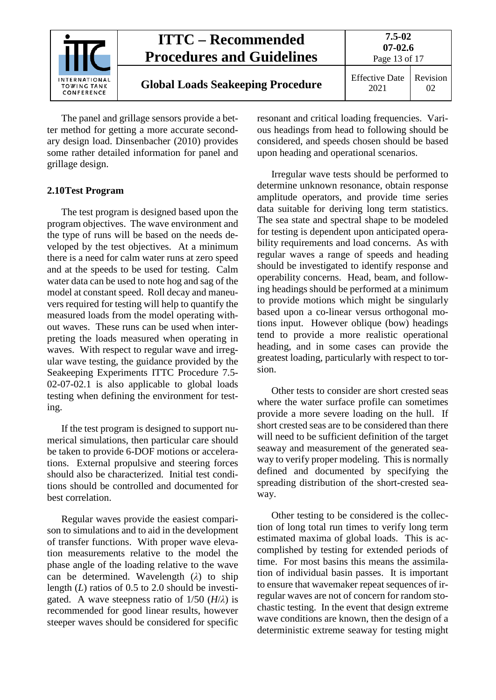

The panel and grillage sensors provide a better method for getting a more accurate secondary design load. Dinsenbacher (2010) provides some rather detailed information for panel and grillage design.

### <span id="page-12-0"></span>**2.10Test Program**

The test program is designed based upon the program objectives. The wave environment and the type of runs will be based on the needs developed by the test objectives. At a minimum there is a need for calm water runs at zero speed and at the speeds to be used for testing. Calm water data can be used to note hog and sag of the model at constant speed. Roll decay and maneuvers required for testing will help to quantify the measured loads from the model operating without waves. These runs can be used when interpreting the loads measured when operating in waves. With respect to regular wave and irregular wave testing, the guidance provided by the Seakeeping Experiments ITTC Procedure 7.5- 02-07-02.1 is also applicable to global loads testing when defining the environment for testing.

If the test program is designed to support numerical simulations, then particular care should be taken to provide 6-DOF motions or accelerations. External propulsive and steering forces should also be characterized. Initial test conditions should be controlled and documented for best correlation.

Regular waves provide the easiest comparison to simulations and to aid in the development of transfer functions. With proper wave elevation measurements relative to the model the phase angle of the loading relative to the wave can be determined. Wavelength (*λ*) to ship length (*L*) ratios of 0.5 to 2.0 should be investigated. A wave steepness ratio of  $1/50$  ( $H/\lambda$ ) is recommended for good linear results, however steeper waves should be considered for specific resonant and critical loading frequencies. Various headings from head to following should be considered, and speeds chosen should be based upon heading and operational scenarios.

Irregular wave tests should be performed to determine unknown resonance, obtain response amplitude operators, and provide time series data suitable for deriving long term statistics. The sea state and spectral shape to be modeled for testing is dependent upon anticipated operability requirements and load concerns. As with regular waves a range of speeds and heading should be investigated to identify response and operability concerns. Head, beam, and following headings should be performed at a minimum to provide motions which might be singularly based upon a co-linear versus orthogonal motions input. However oblique (bow) headings tend to provide a more realistic operational heading, and in some cases can provide the greatest loading, particularly with respect to torsion.

Other tests to consider are short crested seas where the water surface profile can sometimes provide a more severe loading on the hull. If short crested seas are to be considered than there will need to be sufficient definition of the target seaway and measurement of the generated seaway to verify proper modeling. This is normally defined and documented by specifying the spreading distribution of the short-crested seaway.

Other testing to be considered is the collection of long total run times to verify long term estimated maxima of global loads. This is accomplished by testing for extended periods of time. For most basins this means the assimilation of individual basin passes. It is important to ensure that wavemaker repeat sequences of irregular waves are not of concern for random stochastic testing. In the event that design extreme wave conditions are known, then the design of a deterministic extreme seaway for testing might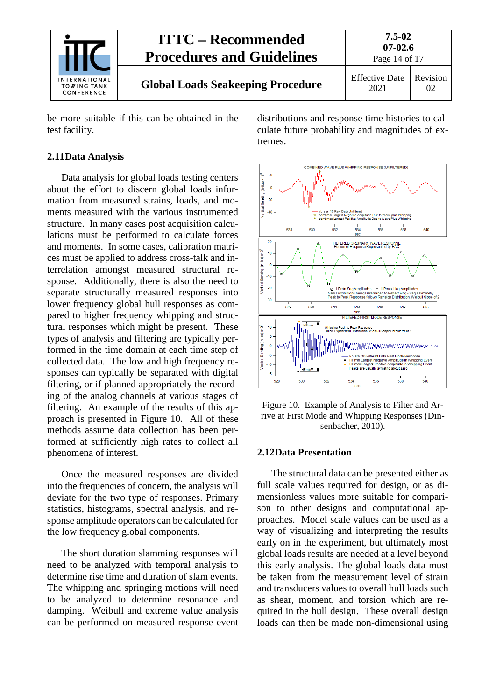

be more suitable if this can be obtained in the test facility.

#### <span id="page-13-0"></span>**2.11Data Analysis**

Data analysis for global loads testing centers about the effort to discern global loads information from measured strains, loads, and moments measured with the various instrumented structure. In many cases post acquisition calculations must be performed to calculate forces and moments. In some cases, calibration matrices must be applied to address cross-talk and interrelation amongst measured structural response. Additionally, there is also the need to separate structurally measured responses into lower frequency global hull responses as compared to higher frequency whipping and structural responses which might be present. These types of analysis and filtering are typically performed in the time domain at each time step of collected data. The low and high frequency responses can typically be separated with digital filtering, or if planned appropriately the recording of the analog channels at various stages of filtering. An example of the results of this approach is presented in [Figure 10.](#page-13-2) All of these methods assume data collection has been performed at sufficiently high rates to collect all phenomena of interest.

Once the measured responses are divided into the frequencies of concern, the analysis will deviate for the two type of responses. Primary statistics, histograms, spectral analysis, and response amplitude operators can be calculated for the low frequency global components.

The short duration slamming responses will need to be analyzed with temporal analysis to determine rise time and duration of slam events. The whipping and springing motions will need to be analyzed to determine resonance and damping. Weibull and extreme value analysis can be performed on measured response event distributions and response time histories to calculate future probability and magnitudes of extremes.



<span id="page-13-2"></span>Figure 10. Example of Analysis to Filter and Arrive at First Mode and Whipping Responses (Dinsenbacher, 2010).

#### <span id="page-13-1"></span>**2.12Data Presentation**

The structural data can be presented either as full scale values required for design, or as dimensionless values more suitable for comparison to other designs and computational approaches. Model scale values can be used as a way of visualizing and interpreting the results early on in the experiment, but ultimately most global loads results are needed at a level beyond this early analysis. The global loads data must be taken from the measurement level of strain and transducers values to overall hull loads such as shear, moment, and torsion which are required in the hull design. These overall design loads can then be made non-dimensional using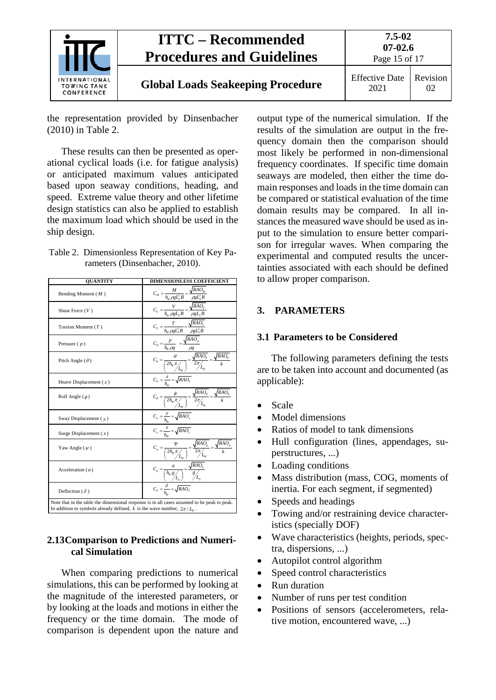

the representation provided by Dinsenbacher (2010) in [Table 2.](#page-14-3)

These results can then be presented as operational cyclical loads (i.e. for fatigue analysis) or anticipated maximum values anticipated based upon seaway conditions, heading, and speed. Extreme value theory and other lifetime design statistics can also be applied to establish the maximum load which should be used in the ship design.

<span id="page-14-3"></span>Table 2. Dimensionless Representation of Key Parameters (Dinsenbacher, 2010).

| <b>QUANTITY</b>                                                                                                                                                           | <b>DIMENSIONLESS COEFFICIENT</b>                                                                                                                                                                                                                                                                                                |  |
|---------------------------------------------------------------------------------------------------------------------------------------------------------------------------|---------------------------------------------------------------------------------------------------------------------------------------------------------------------------------------------------------------------------------------------------------------------------------------------------------------------------------|--|
| Bending Moment $(M)$                                                                                                                                                      |                                                                                                                                                                                                                                                                                                                                 |  |
| Shear Force $(V)$                                                                                                                                                         | $\begin{split} C_M=&\frac{M}{h_W\rho g L_S^2 B}=\frac{\sqrt{RAO_M}}{\rho g L_S^2 B}\\ C_V=&\frac{V}{h_W\rho g L_S B}=\frac{\sqrt{RAO_V}}{\rho g L_S B} \end{split}$                                                                                                                                                             |  |
| Torsion Moment $(T)$                                                                                                                                                      |                                                                                                                                                                                                                                                                                                                                 |  |
| Pressure $(p)$                                                                                                                                                            |                                                                                                                                                                                                                                                                                                                                 |  |
| Pitch Angle $(\theta)$                                                                                                                                                    | $\begin{aligned} C_{T} &= \frac{T}{h_w \rho g L_S^2 B} = \frac{\sqrt{RAO_T}}{\rho g L_S^2 B} \\ C_{p} &= \frac{p}{h_w \rho g} = \frac{\sqrt{RAO_p}}{\rho g} \\ C_{\theta} &= \frac{\theta}{\left(2h_w \pi \frac{1}{\mu_w}\right)} = \frac{\sqrt{RAO_\theta}}{2\pi \frac{1}{\mu_w}} = \frac{\sqrt{RAO_\theta}}{k} \end{aligned}$ |  |
| Heave Displacement $(z)$                                                                                                                                                  | $C_{z}=\frac{z}{h_{w}}=\sqrt{RAO_{z}}% \sum_{l=1}^{n}\left( 1-A_{z}\right) ^{l}\left( 1-A_{z}\right) ^{l}.$                                                                                                                                                                                                                     |  |
| Roll Angle $(\phi)$                                                                                                                                                       | $C_{\phi} = \frac{\phi}{\left(2h_{w}\pi/\mu_{w}\right)} = \frac{\sqrt{RAO_{\phi}}}{2\pi/\mu_{w}} = \frac{\sqrt{RAO_{\phi}}}{k}$                                                                                                                                                                                                 |  |
| Sway Displacement $(y)$                                                                                                                                                   | $C_y = \frac{y}{h_w} = \sqrt{RAO_y}$<br>$C_x = \frac{x}{h_w} = \sqrt{RAO_x}$                                                                                                                                                                                                                                                    |  |
| Surge Displacement $(x)$                                                                                                                                                  |                                                                                                                                                                                                                                                                                                                                 |  |
| Yaw Angle $(\psi)$                                                                                                                                                        | $C_{\psi} = \underbrace{\frac{\Psi}{\left(2h_{\psi}\pi\middle/_{L_{W}}\right)}}_{\text{F}} = \underbrace{\frac{\sqrt{RAO_{\psi}}}{2\pi\middle/_{L_{W}}}}_{\text{F}} = \frac{\sqrt{RAO_{\psi}}}{k}$                                                                                                                              |  |
| Acceleration $(a)$                                                                                                                                                        | $\begin{aligned} C_a=&\frac{a}{\left(h_w g\frac{\ }{H_s}\right)}=\frac{\sqrt{RAO_a}}{g\frac{\ }{H_s}}\\ C_\delta=&\frac{\delta}{h_w}=\sqrt{RAO_\delta} \end{aligned}$                                                                                                                                                           |  |
| Deflection ( $\delta$ )                                                                                                                                                   |                                                                                                                                                                                                                                                                                                                                 |  |
| Note that in the table the dimensional response is in all cases assumed to be peak to peak.<br>In addition to symbols already defined, k is the wave number, $2\pi/L_w$ . |                                                                                                                                                                                                                                                                                                                                 |  |

#### <span id="page-14-0"></span>**2.13Comparison to Predictions and Numerical Simulation**

When comparing predictions to numerical simulations, this can be performed by looking at the magnitude of the interested parameters, or by looking at the loads and motions in either the frequency or the time domain. The mode of comparison is dependent upon the nature and output type of the numerical simulation. If the results of the simulation are output in the frequency domain then the comparison should most likely be performed in non-dimensional frequency coordinates. If specific time domain seaways are modeled, then either the time domain responses and loads in the time domain can be compared or statistical evaluation of the time domain results may be compared. In all instances the measured wave should be used as input to the simulation to ensure better comparison for irregular waves. When comparing the experimental and computed results the uncertainties associated with each should be defined to allow proper comparison.

### <span id="page-14-2"></span><span id="page-14-1"></span>**3. PARAMETERS**

#### **3.1 Parameters to be Considered**

The following parameters defining the tests are to be taken into account and documented (as applicable):

- Scale
- Model dimensions
- Ratios of model to tank dimensions
- Hull configuration (lines, appendages, superstructures, ...)
- Loading conditions
- Mass distribution (mass, COG, moments of inertia. For each segment, if segmented)
- Speeds and headings
- Towing and/or restraining device characteristics (specially DOF)
- Wave characteristics (heights, periods, spectra, dispersions, ...)
- Autopilot control algorithm
- Speed control characteristics
- Run duration
- Number of runs per test condition
- Positions of sensors (accelerometers, relative motion, encountered wave, ...)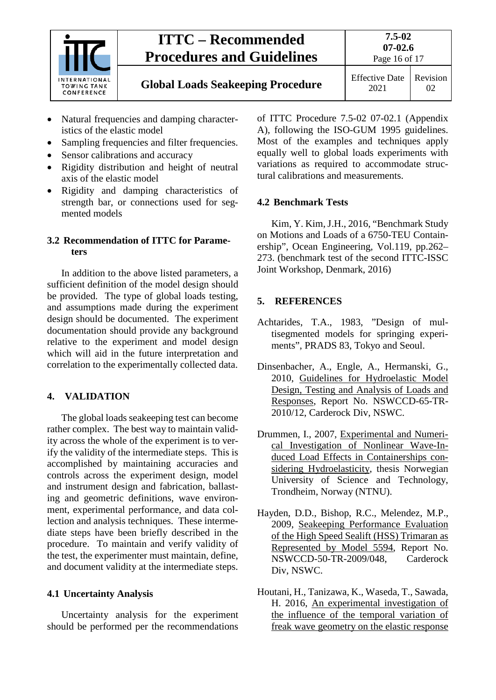

- Natural frequencies and damping characteristics of the elastic model
- Sampling frequencies and filter frequencies.
- Sensor calibrations and accuracy
- Rigidity distribution and height of neutral axis of the elastic model
- Rigidity and damping characteristics of strength bar, or connections used for segmented models

#### <span id="page-15-0"></span>**3.2 Recommendation of ITTC for Parameters**

In addition to the above listed parameters, a sufficient definition of the model design should be provided. The type of global loads testing, and assumptions made during the experiment design should be documented. The experiment documentation should provide any background relative to the experiment and model design which will aid in the future interpretation and correlation to the experimentally collected data.

## <span id="page-15-1"></span>**4. VALIDATION**

The global loads seakeeping test can become rather complex. The best way to maintain validity across the whole of the experiment is to verify the validity of the intermediate steps. This is accomplished by maintaining accuracies and controls across the experiment design, model and instrument design and fabrication, ballasting and geometric definitions, wave environment, experimental performance, and data collection and analysis techniques. These intermediate steps have been briefly described in the procedure. To maintain and verify validity of the test, the experimenter must maintain, define, and document validity at the intermediate steps.

#### <span id="page-15-2"></span>**4.1 Uncertainty Analysis**

Uncertainty analysis for the experiment should be performed per the recommendations of ITTC Procedure 7.5-02 07-02.1 (Appendix A), following the ISO-GUM 1995 guidelines. Most of the examples and techniques apply equally well to global loads experiments with variations as required to accommodate structural calibrations and measurements.

### <span id="page-15-3"></span>**4.2 Benchmark Tests**

Kim, Y. Kim, J.H., 2016, "Benchmark Study on Motions and Loads of a 6750-TEU Containership", Ocean Engineering, Vol.119, pp.262– 273. (benchmark test of the second ITTC-ISSC Joint Workshop, Denmark, 2016)

## <span id="page-15-4"></span>**5. REFERENCES**

- Achtarides, T.A., 1983, "Design of multisegmented models for springing experiments", PRADS 83, Tokyo and Seoul.
- Dinsenbacher, A., Engle, A., Hermanski, G., 2010, Guidelines for Hydroelastic Model Design, Testing and Analysis of Loads and Responses, Report No. NSWCCD-65-TR-2010/12, Carderock Div, NSWC.
- Drummen, I., 2007, Experimental and Numerical Investigation of Nonlinear Wave-Induced Load Effects in Containerships considering Hydroelasticity, thesis Norwegian University of Science and Technology, Trondheim, Norway (NTNU).
- Hayden, D.D., Bishop, R.C., Melendez, M.P., 2009, Seakeeping Performance Evaluation of the High Speed Sealift (HSS) Trimaran as Represented by Model 5594, Report No. NSWCCD-50-TR-2009/048, Carderock Div, NSWC.
- Houtani, H., Tanizawa, K., Waseda, T., Sawada, H. 2016, An experimental investigation of the influence of the temporal variation of freak wave geometry on the elastic response